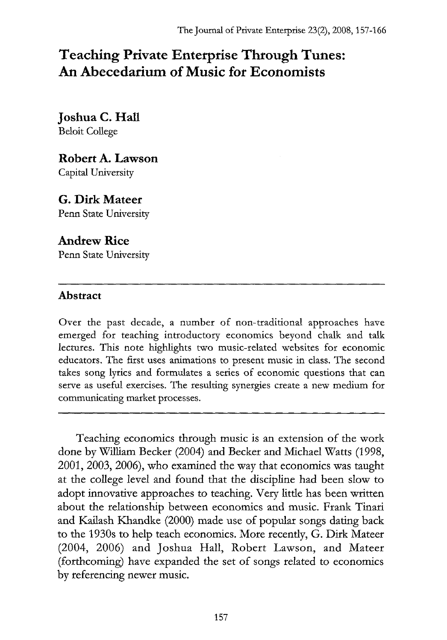## **Teaching Private Enterprise Through Tunes: An Abecedarium of Music for Economists**

**Joshua C. Hall** Beloit College

# **Robert A. Lawson**

Capital University

### **G. Dirk Mateer**

Penn State University

### **Andrew Rice**

Penn State University

#### **Abstract**

Over the past decade, a number of non-traditional approaches have emerged for teaching introductory economics beyond chalk and talk lectures. This note highlights two music-related websites for economic educators. The first uses animations to present music in class. The second takes song lyrics and formulates a series of economic questions that can serve as useful exercises. The resulting synergies create a new medium for communicating market processes.

Teaching economics through music is an extension of the work done by William Becker (2004) and Becker and Michael Watts (1998, 2001, 2003, 2006), who examined the way that economics was taught at the college level and found that the discipline had been slow to adopt innovative approaches to teaching. Very little has been written about the relationship between economics and music. Frank Tinari and Kailash Khandke (2000) made use of popular songs dating back to the 1930s to help teach economics. More recently, G. Dirk Mateer (2004, 2006) and Joshua Hall, Robert Lawson, and Mateer (forthcoming) have expanded the set of songs related to economics by referencing newer music.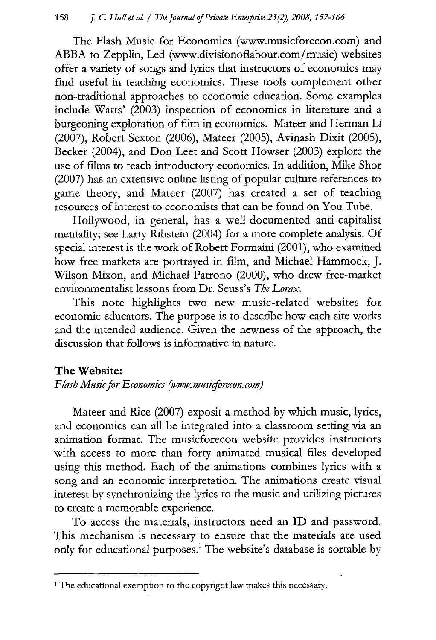The Flash Music for Economics (www.musicforecon.com) and ABBA to Zepplin, Led (www.divisionoflabour.com/music) websites offer a variety of songs and lyrics that instructors of economics may find useful in teaching economics. These tools complement other non-traditional approaches to economic education. Some examples include Watts' (2003) inspection of economics in literature and a burgeoning exploration of film in economics. Mateer and Herman Li (2007), Robert Sexton (2006), Mateer (2005), Avinash Dixit (2005), Becker (2004), and Don Leet and Scott Howser (2003) explore the use of films to teach introductory economics. In addition, Mike Shor (2007) has an extensive online listing of popular culture references to game theory, and Mateer (2007) has created a set of teaching resources of interest to economists that can be found on You Tube.

Hollywood, in general, has a well-documented anti-capitalist mentality; see Larry Ribstein (2004) for a more complete analysis. Of special interest is the work of Robert Formaini (2001), who examined how free markets are portrayed in film, and Michael Hammock, J. Wilson Mixon, and Michael Patrono (2000), who drew free-market environmentalist lessons from Dr. Seuss's *The Lorax.*

This note highlights two new music-related websites for economic educators. The purpose is to describe how each site works and the intended audience. Given the newness of the approach, the discussion that follows is informative in nature.

### **The Website:**

*Flash Music for Economics (www.musicforecon.com)* 

Mateer and Rice (2007) exposit a method by which music, lyrics, and economics can all be integrated into a classroom setting via an animation format. The musicforecon website provides instructors with access to more than forty animated musical files developed using this method. Each of the animations combines lyrics with a song and an economic interpretation. The animations create visual interest by synchronizing the lyrics to the music and utilizing pictures to create a memorable experience.

To access the materials, instructors need an ID and password. This mechanism is necessary to ensure that the materials are used only for educational purposes.' The website's database is sortable by

<sup>&</sup>lt;sup>1</sup> The educational exemption to the copyright law makes this necessary.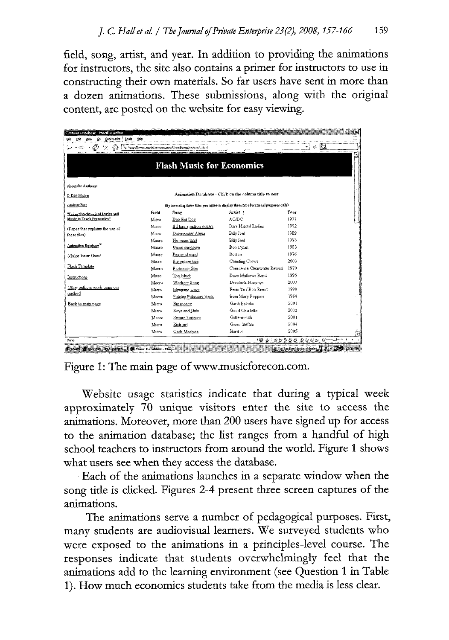field, song, artist, and year. In addition to providing the animations for instructors, the site also contains a primer for instructors to use in constructing their own materials. So far users have sent in more than a dozen animations. These submissions, along with the original content, are posted on the website for easy viewing.

| Ga - str                                                                                          |                                                        | http://www.machines.com/2000.com/2000/2000/2000 |                              |      |  |  |  |  |
|---------------------------------------------------------------------------------------------------|--------------------------------------------------------|-------------------------------------------------|------------------------------|------|--|--|--|--|
|                                                                                                   |                                                        | <b>Flash Music for Economics</b>                |                              |      |  |  |  |  |
| About the Authors:                                                                                |                                                        |                                                 |                              |      |  |  |  |  |
| O. Dirk Mateer                                                                                    | Animation Database - Click on the column title to sort |                                                 |                              |      |  |  |  |  |
| Andrew Rice<br>(By accessing these files you agree to display them for educational purposes only) |                                                        |                                                 |                              |      |  |  |  |  |
| "Using Synchronized Lyrics and<br>Music to Teach Feenomics"                                       | Field                                                  | Song                                            | Artist 3                     | Year |  |  |  |  |
|                                                                                                   | Micro                                                  | Dog Eat Dog                                     | AC/DC                        | 1977 |  |  |  |  |
| (Paper that explains the use of<br>these files)                                                   | Micro                                                  | If I had a milion dollars                       | Bare Naked Ladies            | 1992 |  |  |  |  |
|                                                                                                   | Micro                                                  | Downeaster Alexa                                | Billy Joel                   | 1989 |  |  |  |  |
| Animation Database"                                                                               | Macro                                                  | No mans land                                    | <b>Billy Joel</b>            | 1993 |  |  |  |  |
|                                                                                                   | Macro                                                  | Union sundown                                   | Bob Dylan                    | 1983 |  |  |  |  |
| Make Your Own!<br>Flash Template                                                                  | Macro                                                  | Peace of mind                                   | <b>Boston</b>                | 1976 |  |  |  |  |
|                                                                                                   | Micro                                                  | Big yellow taxi                                 | Counting Crows               | 2003 |  |  |  |  |
|                                                                                                   | Macro                                                  | Fortunate Son                                   | Creedence Clearwater Revival | 1970 |  |  |  |  |
| Instructions<br>Other authors work using our<br>method                                            | Micro                                                  | Too Much                                        | Dave Mathews Band            | 1995 |  |  |  |  |
|                                                                                                   | Macro                                                  | Workers Song                                    | Dropkick Murphys             | 2003 |  |  |  |  |
|                                                                                                   | Micro                                                  | Minimum wage                                    | Fenix Tx / Bob Rivers        | 1999 |  |  |  |  |
|                                                                                                   | Macro                                                  | Fidelity Fiductory Bank                         | from Mary Poppins            | 1964 |  |  |  |  |
| Back to main page                                                                                 | Micro                                                  | Big money                                       | Garth Brooks                 | 2001 |  |  |  |  |
|                                                                                                   | Micro                                                  | Boys and Girls                                  | Good Charlotte               | 2002 |  |  |  |  |
|                                                                                                   | Macro                                                  | Secure horizons                                 | Guttermouth                  | 2001 |  |  |  |  |
|                                                                                                   | Micro                                                  | Rich girl                                       | Gwen Stefan                  | 2004 |  |  |  |  |
|                                                                                                   | Micro                                                  | Cash Machine                                    | Hard Fi                      | 2005 |  |  |  |  |

Figure 1: The main page of www.musicforecon.com.

Website usage statistics indicate that during a typical week approximately 70 unique visitors enter the site to access the animations. Moreover, more than 200 users have signed up for access to the animation database; the list ranges from a handful of high school teachers to instructors from around the world. Figure 1 shows what users see when they access the database.

Each of the animations launches in a separate window when the song title is clicked. Figures 2-4 present three screen captures of the animations.

The animations serve a number of pedagogical purposes. First, many students are audiovisual learners. We surveyed students who were exposed to the animations in a principles-level course. The responses indicate that students overwhelmingly feel that the animations add to the learning environment (see Question 1 in Table 1). How much economics students take from the media is less clear.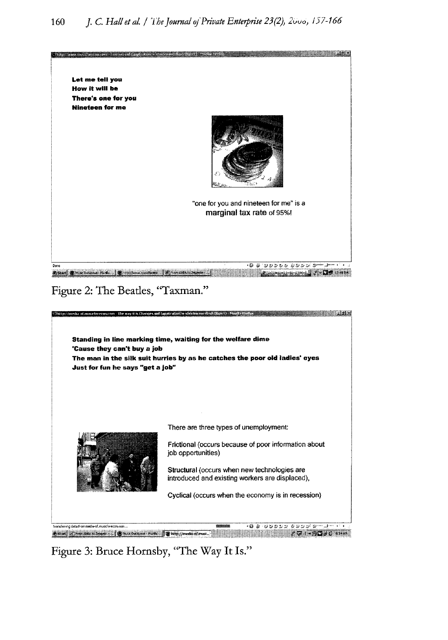

Figure 2: The Beatles, "Taxman."



Figure 3: Bruce Hornsby, "The Way It Is."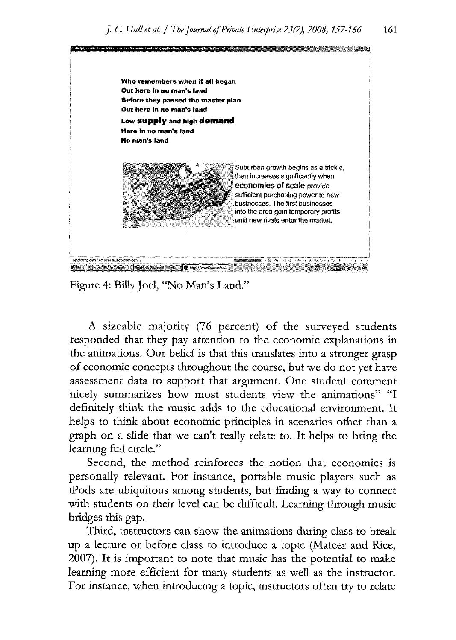

Figure 4: Billy Joel, "No Man's Land"

A sizeable majority (76 percent) of the surveyed students responded that they pay attention to the economic explanations in the animations. Our belief is that this translates into a stronger grasp of economic concepts throughout the course, but we do not yet have assessment data to support that argument. One student comment nicely summarizes how most students view the animations" "I definitely think the music adds to the educational environment. It helps to think about economic principles in scenarios other than a graph on a slide that we can't really relate to. It helps to bring the learning full circle."

Second, the method reinforces the notion that economics is personally relevant. For instance, portable music players such as iPods are ubiquitous among students, but finding a way to connect with students on their level can be difficult. Learning through music bridges this gap.

Third, instructors can show the animations during class to break up a lecture or before class to introduce a topic (Mateer and Rice, 2007). It is important to note that music has the potential to make learning more efficient for many students as well as the instructor. For instance, when introducing a topic, instructors often try to relate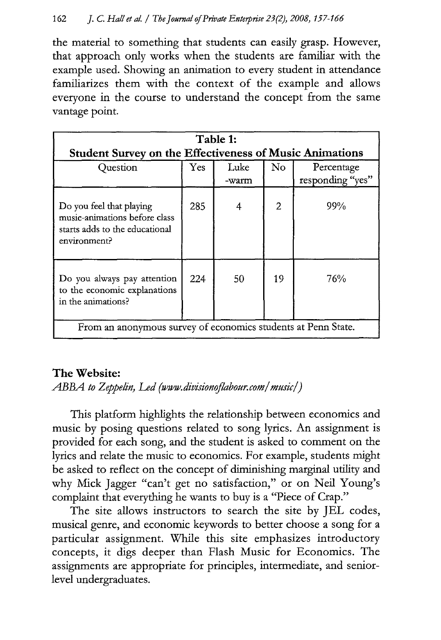the material to something that students can easily grasp. However, that approach only works when the students are familiar with the example used. Showing an animation to every student in attendance familiarizes them with the context of the example and allows everyone in the course to understand the concept from the same vantage point.

| Table 1:<br><b>Student Survey on the Effectiveness of Music Animations</b>                                  |     |               |    |                                |  |  |  |  |
|-------------------------------------------------------------------------------------------------------------|-----|---------------|----|--------------------------------|--|--|--|--|
| Question                                                                                                    | Yes | Luke<br>-warm | No | Percentage<br>responding "yes" |  |  |  |  |
| Do you feel that playing<br>music-animations before class<br>starts adds to the educational<br>environment? | 285 |               | 2  | 99%                            |  |  |  |  |
| Do you always pay attention<br>to the economic explanations<br>in the animations?                           | 224 | 50            | 19 | 76%                            |  |  |  |  |
| From an anonymous survey of economics students at Penn State.                                               |     |               |    |                                |  |  |  |  |

## **The Website:**

*ABBA to Zeppelin, Led (www.divisionoflabonr.com/mnsic/)*

This platform highlights the relationship between economics and music by posing questions related to song lyrics. An assignment is provided for each song, and the student is asked to comment on the lyrics and relate the music to economics. For example, students might be asked to reflect on the concept of diminishing marginal utility and why Mick Jagger "can't get no satisfaction," or on Neil Young's complaint that everything he wants to buy is a "Piece of Crap."

The site allows instructors to search the site by JEL codes, musical genre, and economic keywords to better choose a song for a particular assignment. While this site emphasizes introductory concepts, it digs deeper than Flash Music for Economics. The assignments are appropriate for principles, intermediate, and seniorlevel undergraduates.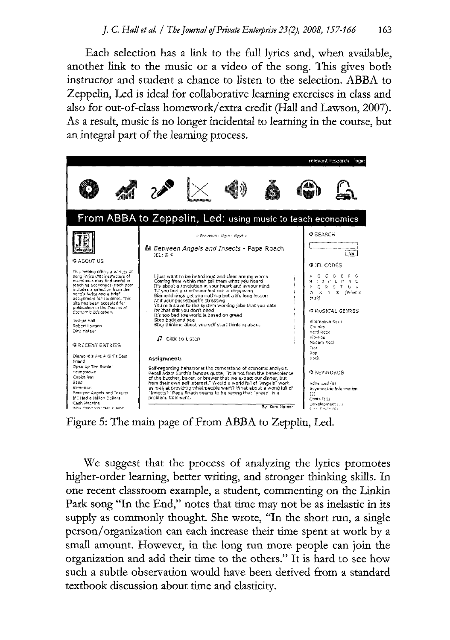Each selection has a link to the full lyrics and, when available, another link to the music or a video of the song. This gives both instructor and student a chance to listen to the selection. ABBA to Zeppelin, Led is ideal for collaborative learning exercises in class and also for out-of-class homework/extra credit (Hall and Lawson, 2007). As a result, music is no longer incidental to learning in the course, but an integral part of the learning process.



Figure 5: The main page of From ABBA to Zepplin, Led.

We suggest that the process of analyzing the lyrics promotes higher-order learning, better writing, and stronger thinking skills. In one recent classroom example, a student, commenting on the Linkin Park song "In the End," notes that time may not be as inelastic in its supply as commonly thought. She wrote, "In the short run, a single person/organization can each increase their time spent at work by a small amount. However, in the long run more people can join the organization and add their time to the others." It is hard to see how such a subtle observation would have been derived from a standard textbook discussion about time and elasticity.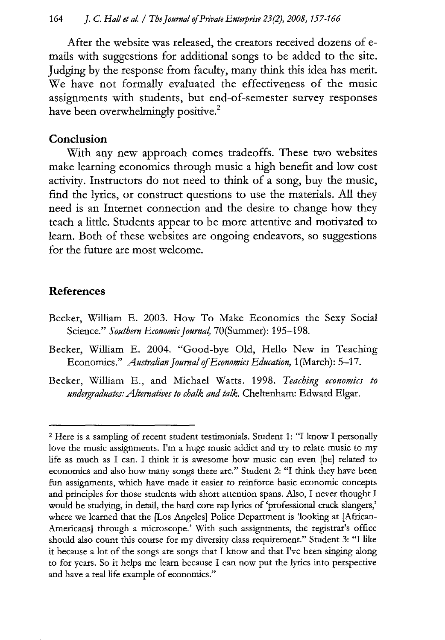After the website was released, the creators received dozens of emails with suggestions for additional songs to be added to the site. Judging by the response from faculty, many think this idea has merit. We have not formally evaluated the effectiveness of the music assignments with students, but end-of-semester survey responses have been overwhelmingly positive.<sup>2</sup>

#### **Conclusion**

With any new approach comes tradeoffs. These two websites make learning economics through music a high benefit and low cost activity. Instructors do not need to think of a song, buy the music, find the lyrics, or construct questions to use the materials. All they need is an Internet connection and the desire to change how they teach a little. Students appear to be more attentive and motivated to learn. Both of these websites are ongoing endeavors, so suggestions for the future are most welcome.

#### **References**

- Becker, William E. 2003. How To Make Economics the Sexy Social Science." *Southern Economic Journal,* 70(Summer): 195-198.
- Becker, William E. 2004. "Good-bye Old, Hello New in Teaching Economics." *Australian Journal of Economics Education,* 1(March): 5-17.
- Becker, William E., and Michael Watts. 1998. *Teaching economics to undergraduates: Alternatives to chalk and talk.* Cheltenham: Edward Elgar.

<sup>2</sup> Here is a sampling of recent student testimonials. Student 1: "I know I personally love the music assignments. I'm a huge music addict and try to relate music to my life as much as I can. I think it is awesome how music can even [be] related to economics and also how many songs there are." Student 2: "I think they have been fun assignments, which have made it easier to reinforce basic economic concepts and principles for those students with short attention spans. Also, I never thought I would be studying, in detail, the hard core rap lyrics of 'professional crack slangers,' where we learned that the [Los Angeles] Police Department is 'looking at [African-Americans] through a microscope.' With such assignments, the registrar's office should also count this course for my diversity class requirement." Student 3: "I like it because a lot of the songs are songs that I know and that I've been singing along to for years. So it helps me learn because I can now put the lyrics into perspective and have a real life example of economics."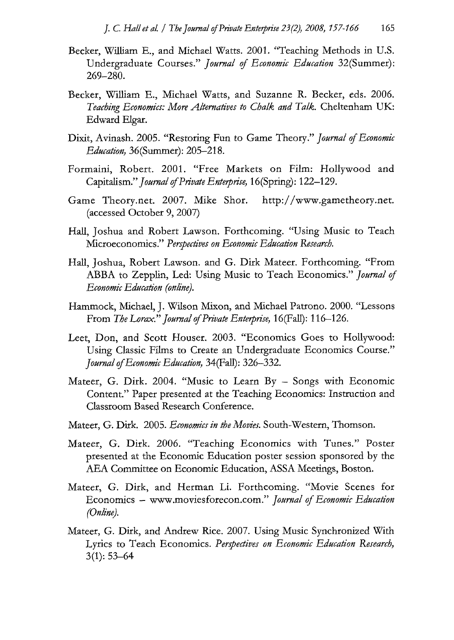- Becker, William E., and Michael Watts. 2001. "Teaching Methods in U.S. Undergraduate Courses." *Journal of Economic Education* 32(Summer): 269-280.
- Becker, William E., Michael Watts, and Suzanne R. Becker, eds. 2006. *Teaching Economics: More Alternatives to Chalk and Talk.* Cheltenham UK: Edward Elgar.
- Dixit, Avinash. 2005. "Restoring Fun to Game Theory." *Journal of Economic Education,* 36(Summer): 205-218.
- Formaini, Robert. 2001. "Free Markets on Film: Hollywood and Capitalism." Journal of Private Enterprise, 16 (Spring): 122-129.
- Game Theory.net. 2007. Mike Shor. http://www.gametheory.net. (accessed October 9,2007)
- Hall, Joshua and Robert Lawson. Forthcoming. "Using Music to Teach Microeconomics." *Perspectives on Economic Education Research.*
- Hall, Joshua, Robert Lawson. and G. Dirk Mateer. Forthcoming. "From ABBA to Zepplin, Led: Using Music to Teach Economics." *Journal of Economic Education (online).*
- Hammock, Michael, J. Wilson Mixon, and Michael Patrono. 2000. "Lessons From *The Lorax." Journal of Private Enterprise,* 16(Fall): 116-126.
- Leet, Don, and Scott Houser. 2003. "Economics Goes to Hollywood: Using Classic Films to Create an Undergraduate Economics Course." *Journal of Economic Education,* 34(Fall): 326-332.
- Mateer, G. Dirk. 2004. "Music to Learn By Songs with Economic Content." Paper presented at the Teaching Economics: Instruction and Classroom Based Research Conference.
- Mateer, G. Dirk. 2005. *Economics in the Movies.* South-Western, Thomson.
- Mateer, G. Dirk. 2006. "Teaching Economics with Tunes." Poster presented at the Economic Education poster session sponsored by the AEA Committee on Economic Education, ASSA Meetings, Boston.
- Mateer, G. Dirk, and Herman Li. Forthcoming. "Movie Scenes for Economics — www.moviesforecon.com ." *Journal of Economic Education (Online).*
- Mateer, G. Dirk, and Andrew Rice. 2007. Using Music Synchronized With Lyrics to Teach Economics. *Perspectives on Economic Education Research, 3(1):* 53-64